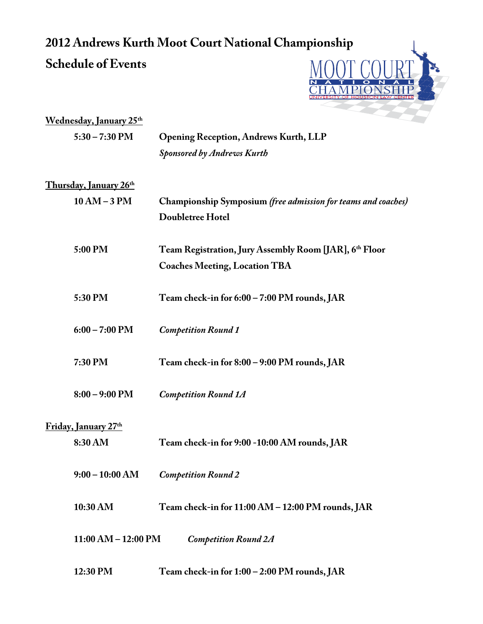## **2012 Andrews Kurth Moot Court National Championship Schedule of Events**



| <u>Wednesday, January 25th</u> |                                                               |
|--------------------------------|---------------------------------------------------------------|
| $5:30 - 7:30$ PM               | <b>Opening Reception, Andrews Kurth, LLP</b>                  |
|                                | <b>Sponsored by Andrews Kurth</b>                             |
| <u>Thursday, January 26th</u>  |                                                               |
| $10 AM - 3 PM$                 | Championship Symposium (free admission for teams and coaches) |
|                                | Doubletree Hotel                                              |
| 5:00 PM                        | Team Registration, Jury Assembly Room [JAR], 6th Floor        |
|                                | <b>Coaches Meeting, Location TBA</b>                          |
| 5:30 PM                        | Team check-in for 6:00 - 7:00 PM rounds, JAR                  |
| $6:00 - 7:00$ PM               | <b>Competition Round 1</b>                                    |
| 7:30 PM                        | Team check-in for 8:00 - 9:00 PM rounds, JAR                  |
| $8:00 - 9:00$ PM               | <b>Competition Round 1A</b>                                   |
| Friday, January 27th           |                                                               |
| 8:30 AM                        | Team check-in for 9:00 -10:00 AM rounds, JAR                  |
| $9:00 - 10:00$ AM              | <b>Competition Round 2</b>                                    |
| 10:30 AM                       | Team check-in for 11:00 AM - 12:00 PM rounds, JAR             |
| $11:00 AM - 12:00 PM$          | <b>Competition Round 2A</b>                                   |
| 12:30 PM                       | Team check-in for 1:00 - 2:00 PM rounds, JAR                  |